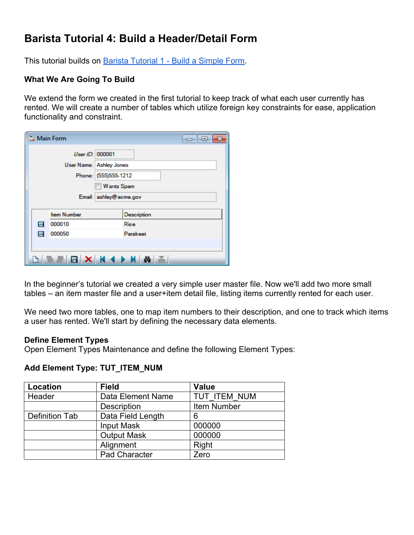# **Barista Tutorial 4: Build a Header/Detail Form**

This tutorial builds on **[Barista Tutorial 1 - Build a Simple Form](http://documentation.basis.com/BaristaDIP/Barista%20Tutorial%201%20-%20Build%20a%20Simple%20Form.pdf)**.

## **What We Are Going To Build**

We extend the form we created in the first tutorial to keep track of what each user currently has rented. We will create a number of tables which utilize foreign key constraints for ease, application functionality and constraint.

| <b>Main Form</b>        |                        |                      | $ -$        |  |
|-------------------------|------------------------|----------------------|-------------|--|
|                         | User ID: 000001        |                      |             |  |
| User Name: Ashley Jones |                        |                      |             |  |
|                         |                        | Phone: (555)555-1212 |             |  |
|                         |                        | <b>Wants Spam</b>    |             |  |
|                         | Email: ashley@acme.gov |                      |             |  |
|                         |                        |                      |             |  |
|                         | <b>Item Number</b>     |                      | Description |  |
| Ħ                       | 000010                 |                      | Rice        |  |
| 且                       | 000050                 |                      | Parakeet    |  |
|                         |                        |                      |             |  |
|                         |                        |                      |             |  |
|                         | HEBXH4DNAE             |                      |             |  |

In the beginner's tutorial we created a very simple user master file. Now we'll add two more small tables – an item master file and a user+item detail file, listing items currently rented for each user.

We need two more tables, one to map item numbers to their description, and one to track which items a user has rented. We'll start by defining the necessary data elements.

#### **Define Element Types**

Open Element Types Maintenance and define the following Element Types:

#### **Add Element Type: TUT\_ITEM\_NUM**

| Location                            | <b>Field</b>       | <b>Value</b> |  |
|-------------------------------------|--------------------|--------------|--|
| Header                              | Data Element Name  | TUT ITEM NUM |  |
|                                     | Description        | Item Number  |  |
| Data Field Length<br>Definition Tab |                    | 6            |  |
|                                     | <b>Input Mask</b>  | 000000       |  |
|                                     | <b>Output Mask</b> | 000000       |  |
|                                     | Alignment          | Right        |  |
|                                     | Pad Character      | Zero         |  |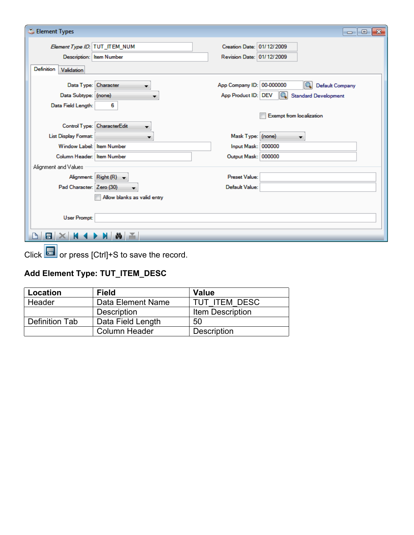| Element Types                      | $-x$<br>-0-<br><b>-</b>                                              |
|------------------------------------|----------------------------------------------------------------------|
| Element Type ID: TUT_ITEM_NUM      | Creation Date: 01/12/2009                                            |
| Description: Item Number           | Revision Date: 01/12/2009                                            |
| Definition<br>Validation           |                                                                      |
| Data Type: Character               | App Company ID: 00-000000<br><b>Default Company</b>                  |
| Data Subtype: (none)               | App Product ID: DEV<br>$\overline{Q}$<br><b>Standard Development</b> |
| 6<br>Data Field Length:            |                                                                      |
|                                    | <b>Exempt from localization</b>                                      |
| Control Type: CharacterEdit        |                                                                      |
| List Display Format:<br>▼          | Mask Type: (none)<br>$\overline{\phantom{a}}$                        |
| Window Label: Item Number          | Input Mask: 000000                                                   |
| Column Header: Item Number         | Output Mask: 000000                                                  |
| Alignment and Values               |                                                                      |
| Alignment: Right (R) $\rightarrow$ | Preset Value:                                                        |
| Pad Character: Zero (30)           | Default Value:                                                       |
| Allow blanks as valid entry        |                                                                      |
|                                    |                                                                      |
| User Prompt:                       |                                                                      |
| ≚<br>冒                             |                                                                      |

Click **or** press [Ctrl]+S to save the record.

# **Add Element Type: TUT\_ITEM\_DESC**

| Location       | Field                | <b>Value</b>       |  |
|----------------|----------------------|--------------------|--|
| Header         | Data Element Name    | TUT ITEM DESC      |  |
|                | Description          | Item Description   |  |
| Definition Tab | Data Field Length    | 50                 |  |
|                | <b>Column Header</b> | <b>Description</b> |  |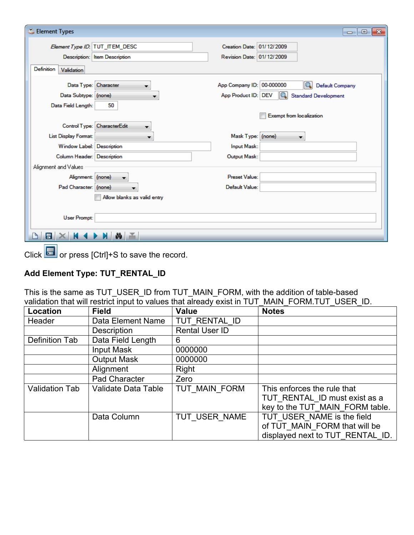| Element Types                  |                               |                           | $\Box$ $\Box$                      |
|--------------------------------|-------------------------------|---------------------------|------------------------------------|
| Element Type ID: TUT_ITEM_DESC |                               | Creation Date: 01/12/2009 |                                    |
|                                | Description: Item Description | Revision Date: 01/12/2009 |                                    |
| Definition<br>Validation       |                               |                           |                                    |
| Data Type: Character           | ▼                             | App Company ID: 00-000000 | <b>Default Company</b>             |
| Data Subtype: (none)           |                               | App Product ID: DEV       | IQ.<br><b>Standard Development</b> |
| Data Field Length:             | 50                            |                           |                                    |
|                                |                               |                           | <b>Exempt from localization</b>    |
|                                | Control Type: CharacterEdit   |                           |                                    |
| List Display Format:           |                               | Mask Type: (none)         |                                    |
| Window Label: Description      |                               | Input Mask:               |                                    |
| Column Header: Description     |                               | Output Mask:              |                                    |
| Alignment and Values           |                               |                           |                                    |
| Alignment: (none)              | $\overline{\phantom{a}}$      | Preset Value:             |                                    |
| Pad Character: (none)          |                               | Default Value:            |                                    |
|                                | Allow blanks as valid entry   |                           |                                    |
|                                |                               |                           |                                    |
| User Prompt:                   |                               |                           |                                    |
| 冒                              | 盖                             |                           |                                    |

 $C$ lick  $\Box$  or press [Ctrl]+S to save the record.

## **Add Element Type: TUT\_RENTAL\_ID**

This is the same as TUT\_USER\_ID from TUT\_MAIN\_FORM, with the addition of table-based validation that will restrict input to values that already exist in TUT\_MAIN\_FORM.TUT\_USER\_ID.

| Location              | <b>Field</b>        | <b>Value</b>   | <b>Notes</b>                                                                                    |
|-----------------------|---------------------|----------------|-------------------------------------------------------------------------------------------------|
| Header                | Data Element Name   | TUT RENTAL ID  |                                                                                                 |
|                       | <b>Description</b>  | Rental User ID |                                                                                                 |
| Definition Tab        | Data Field Length   | 6              |                                                                                                 |
|                       | Input Mask          | 0000000        |                                                                                                 |
|                       | <b>Output Mask</b>  | 0000000        |                                                                                                 |
|                       | Alignment           | Right          |                                                                                                 |
|                       | Pad Character       | Zero           |                                                                                                 |
| <b>Validation Tab</b> | Validate Data Table | TUT MAIN FORM  | This enforces the rule that<br>TUT RENTAL ID must exist as a<br>key to the TUT MAIN FORM table. |
|                       | Data Column         | TUT USER NAME  | TUT USER NAME is the field<br>of TUT MAIN FORM that will be<br>displayed next to TUT RENTAL ID. |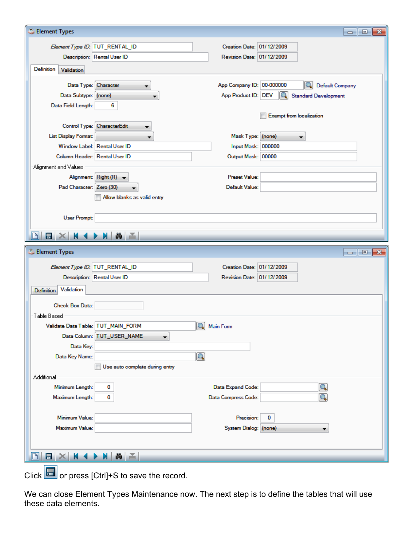| Element Types                      | $\Box$<br>$\Box$                                                                                                  |
|------------------------------------|-------------------------------------------------------------------------------------------------------------------|
| Element Type ID: TUT_RENTAL_ID     | Creation Date: 01/12/2009                                                                                         |
| Description: Rental User ID        | Revision Date: 01/12/2009                                                                                         |
| Definition<br>Validation           |                                                                                                                   |
|                                    |                                                                                                                   |
| Data Type: Character<br>▼          | App Company ID: 00-000000<br>Q<br><b>Default Company</b>                                                          |
| Data Subtype: (none)               | App Product ID: DEV<br>Q<br><b>Standard Development</b>                                                           |
| Data Field Length:<br>6            |                                                                                                                   |
|                                    | <b>Exempt from localization</b>                                                                                   |
| Control Type: CharacterEdit<br>▼   |                                                                                                                   |
| List Display Format:               | Mask Type: (none)                                                                                                 |
| Window Label: Rental User ID       | Input Mask: 000000                                                                                                |
| Column Header: Rental User ID      | Output Mask: 00000                                                                                                |
| Alignment and Values               |                                                                                                                   |
| Alignment: $Right(R) \rightarrow$  | <b>Preset Value:</b>                                                                                              |
| Pad Character: Zero (30)           | Default Value:                                                                                                    |
| Allow blanks as valid entry        |                                                                                                                   |
|                                    |                                                                                                                   |
| <b>User Prompt:</b>                |                                                                                                                   |
|                                    |                                                                                                                   |
| DI                                 |                                                                                                                   |
| Element Types                      | $\begin{array}{c c c c c c} \hline \multicolumn{3}{c }{\mathbf{C}} & \multicolumn{3}{c }{\mathbf{X}} \end{array}$ |
| Element Type ID: TUT_RENTAL_ID     | Creation Date: 01/12/2009                                                                                         |
| Description: Rental User ID        | Revision Date: 01/12/2009                                                                                         |
| Validation<br>Definition           |                                                                                                                   |
| Check Box Data:                    |                                                                                                                   |
| Table Based                        |                                                                                                                   |
| Validate Data Table: TUT_MAIN_FORM | 4 Main Form                                                                                                       |
| Data Column: TUT_USER_NAME<br>▼    |                                                                                                                   |
| Data Key:                          |                                                                                                                   |
| Data Key Name:                     | $\boldsymbol{\mathsf{Q}}$                                                                                         |
| Use auto complete during entry     |                                                                                                                   |
| Additional                         |                                                                                                                   |
| Minimum Length:<br>0               | Data Expand Code:                                                                                                 |
| Maximum Length:<br>0               | Data Compress Code:                                                                                               |
|                                    |                                                                                                                   |
| Minimum Value:                     | Precision:<br>0                                                                                                   |
| Maximum Value:                     | System Dialog: (none)                                                                                             |
|                                    |                                                                                                                   |
| ∣₩.<br>E.                          |                                                                                                                   |
| H<br>$\blacksquare$<br>M.<br>K 4   |                                                                                                                   |

Click  $\boxed{\cdot\phantom{\cdot\cdot\cdot}}$  or press [Ctrl]+S to save the record.

We can close Element Types Maintenance now. The next step is to define the tables that will use these data elements.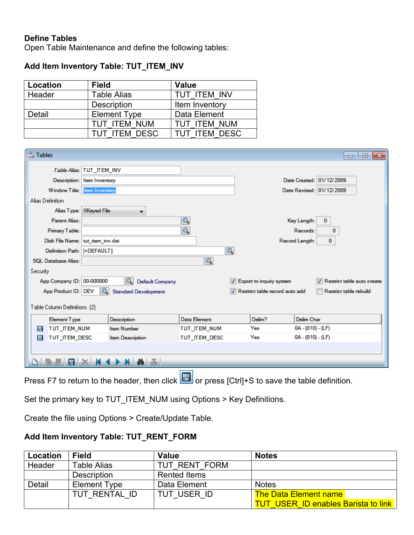## **Define Tables**

Open Table Maintenance and define the following tables:

### **Add Item Inventory Table: TUT\_ITEM\_INV**

| Location                      | <b>Field</b>       | <b>Value</b>     |  |
|-------------------------------|--------------------|------------------|--|
| Header                        | <b>Table Alias</b> | TUT ITEM INV     |  |
|                               | <b>Description</b> | Item Inventory   |  |
| <b>Element Type</b><br>Detail |                    | Data Element     |  |
|                               | TUT ITEM NUM       | TUT ITEM NUM     |  |
| TUT ITEM DESC                 |                    | <b>ITFM DESC</b> |  |

| Tables                           |                             |                             |                            |                                |                | -23<br>Θ.<br>$\Box$          |
|----------------------------------|-----------------------------|-----------------------------|----------------------------|--------------------------------|----------------|------------------------------|
|                                  | Table Alias: TUT_ITEM_INV   |                             |                            |                                |                |                              |
|                                  | Description: Item Inventory |                             |                            |                                |                | Date Created: 01/12/2009     |
| Window Title:   tem Inventory    |                             |                             |                            |                                |                | Date Revised: 01/12/2009     |
| Alias Definition                 |                             |                             |                            |                                |                |                              |
|                                  | Alias Type: XKeyed File     |                             |                            |                                |                |                              |
| Parent Alias:                    |                             |                             | Q                          |                                | Key Length:    | 0                            |
| Primary Table:                   |                             |                             | Q                          |                                | Records:       | 0                            |
| Disk File Name: tut_item_inv.dat |                             |                             |                            |                                | Record Length: | $\mathbf{0}$                 |
| Definition Path: [+DEFAULT]      |                             |                             | $\left[ \mathsf{Q}\right]$ |                                |                |                              |
| <b>SOL Database Alias:</b>       |                             |                             | $\boldsymbol{\mathsf{Q}}$  |                                |                |                              |
| Security                         |                             |                             |                            |                                |                |                              |
| App Company ID: 00-000000        |                             | Default Company             |                            | V Export to inquiry system     |                | V Restrict table auto create |
| App Product ID: DEV              | IQ.                         | <b>Standard Development</b> |                            | Restrict table record auto add |                | Restrict table rebuild       |
| Table Column Definitions (2)     |                             |                             |                            |                                |                |                              |
| <b>Element Type</b>              |                             | Description                 | <b>Data Element</b>        | Delim?                         | Delim Char     |                              |
| TUT ITEM NUM<br>E                |                             | <b>Item Number</b>          | TUT ITEM NUM               | Yes                            |                | 0A - (010) - (LF)            |
| TUT ITEM DESC<br>目               |                             | Item Description            | TUT ITEM DESC              | Yes                            |                | 0A - (010) - (LF)            |
|                                  |                             |                             |                            |                                |                |                              |
|                                  |                             | Ã,<br>Ø.                    |                            |                                |                |                              |
|                                  |                             |                             |                            |                                |                |                              |

Press F7 to return to the header, then click  $\Box$  or press [Ctrl]+S to save the table definition.

Set the primary key to TUT\_ITEM\_NUM using Options > Key Definitions.

Create the file using Options > Create/Update Table.

## **Add Item Inventory Table: TUT\_RENT\_FORM**

| Location | <b>Field</b>        | Value               | <b>Notes</b>                               |
|----------|---------------------|---------------------|--------------------------------------------|
| Header   | <b>Table Alias</b>  | TUT RENT FORM       |                                            |
|          | <b>Description</b>  | <b>Rented Items</b> |                                            |
| Detail   | <b>Element Type</b> | Data Element        | <b>Notes</b>                               |
|          | TUT RENTAL ID       | TUT USER ID         | <b>The Data Element name</b>               |
|          |                     |                     | <b>TUT USER ID enables Barista to link</b> |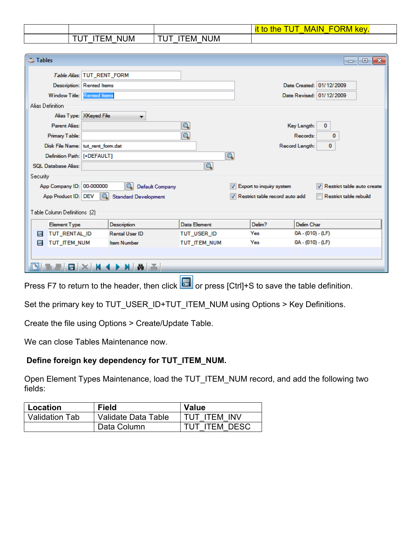|                     |                     | <b>IN</b><br><b>VOV</b><br>п<br>MA<br>٦E<br>ТC<br>nс |
|---------------------|---------------------|------------------------------------------------------|
| .<br>UM<br>ΝI<br>⊢м | .<br>JM<br>ΝI<br>-M |                                                      |

| <b>Tables</b>                     |                                  |                             |              |                                |                     | -0-<br>-23<br>$\Box$       |
|-----------------------------------|----------------------------------|-----------------------------|--------------|--------------------------------|---------------------|----------------------------|
|                                   | Table Alias: TUT RENT FORM       |                             |              |                                |                     |                            |
|                                   | <b>Description: Rented Items</b> |                             |              |                                |                     | Date Created: 01/12/2009   |
| Window Title: Rented Items        |                                  |                             |              |                                |                     | Date Revised: 01/12/2009   |
| Alias Definition                  |                                  |                             |              |                                |                     |                            |
|                                   | Alias Type: XKeyed File          | ▼                           |              |                                |                     |                            |
| <b>Parent Alias:</b>              |                                  |                             | Q            |                                | Key Length:         | $\bf{0}$                   |
| Primary Table:                    |                                  |                             | Q            |                                | Records:            | 0                          |
| Disk File Name: tut_rent_form.dat |                                  |                             |              |                                | Record Length:      | 0                          |
| Definition Path: [+DEFAULT]       |                                  |                             | $\sqrt{a}$   |                                |                     |                            |
| <b>SQL Database Alias:</b>        |                                  |                             | Q            |                                |                     |                            |
| Security                          |                                  |                             |              |                                |                     |                            |
| App Company ID: 00-000000         |                                  | Q<br>Default Company        |              | V Export to inquiry system     |                     | Restrict table auto create |
| App Product ID: DEV               | 10.                              | <b>Standard Development</b> |              | Restrict table record auto add |                     | Restrict table rebuild     |
| Table Column Definitions [2]      |                                  |                             |              |                                |                     |                            |
|                                   |                                  |                             |              |                                |                     |                            |
| <b>Element Type</b>               |                                  | Description                 | Data Element | Delim?                         | Delim Char          |                            |
| TUT_RENTAL_ID<br>E                |                                  | <b>Rental User ID</b>       | TUT USER ID  | Yes                            | $0A - (010) - (LF)$ |                            |
| TUT_ITEM_NUM<br>E                 |                                  | <b>Item Number</b>          | TUT ITEM NUM | Yes                            | $0A - (010) - (LF)$ |                            |
|                                   |                                  |                             |              |                                |                     |                            |
|                                   |                                  |                             |              |                                |                     |                            |
|                                   |                                  |                             |              |                                |                     |                            |

Press F7 to return to the header, then click  $\Box$  or press [Ctrl]+S to save the table definition.

Set the primary key to TUT\_USER\_ID+TUT\_ITEM\_NUM using Options > Key Definitions.

Create the file using Options > Create/Update Table.

We can close Tables Maintenance now.

#### **Define foreign key dependency for TUT\_ITEM\_NUM.**

Open Element Types Maintenance, load the TUT\_ITEM\_NUM record, and add the following two fields:

| Location              | <b>Field</b>        | <b>Value</b>  |
|-----------------------|---------------------|---------------|
| <b>Validation Tab</b> | Validate Data Table | TUT ITEM INV  |
|                       | Data Column         | TUT ITEM DESC |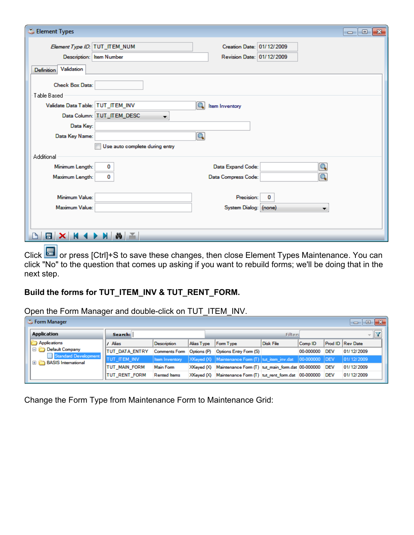| Element Types                                          |                           | $-x$<br><u>a 0</u> |
|--------------------------------------------------------|---------------------------|--------------------|
| Element Type ID: TUT_ITEM_NUM                          | Creation Date: 01/12/2009 |                    |
| Description: Item Number                               | Revision Date: 01/12/2009 |                    |
| Validation<br>Definition                               |                           |                    |
| <b>Check Box Data:</b><br>Table Based                  |                           |                    |
| Validate Data Table: TUT_ITEM_INV                      | Item Inventory            |                    |
| Data Column: TUT_ITEM_DESC<br>$\overline{\phantom{a}}$ |                           |                    |
| Data Key:                                              |                           |                    |
| Data Key Name:                                         | Q                         |                    |
| Use auto complete during entry                         |                           |                    |
| Additional                                             |                           |                    |
| Minimum Length:<br>0                                   | Data Expand Code:         |                    |
| 0<br>Maximum Length:                                   | Data Compress Code:       |                    |
|                                                        |                           |                    |
| Minimum Value:                                         | Precision:<br>0           |                    |
| Maximum Value:                                         | System Dialog: (none)     |                    |
|                                                        |                           |                    |
|                                                        |                           |                    |
| ē.<br>Ħ<br>ŵ                                           |                           |                    |

Click **Delatat or press [Ctrl]+S to save these changes, then close Element Types Maintenance. You can** click "No" to the question that comes up asking if you want to rebuild forms; we'll be doing that in the next step.

# **Build the forms for TUT\_ITEM\_INV & TUT\_RENT\_FORM.**

Open the Form Manager and double-click on TUT\_ITEM\_INV.

|  | <b>C</b> Form Manager                                                               |                        |                      |             |                                                                            |           |           |            | $-28-$<br>画<br>$\Box$ |
|--|-------------------------------------------------------------------------------------|------------------------|----------------------|-------------|----------------------------------------------------------------------------|-----------|-----------|------------|-----------------------|
|  | <b>Application</b>                                                                  | Search:                |                      |             |                                                                            | Filter:   |           |            | <b>Il service</b>     |
|  | Applications                                                                        | / Alias                | Description          | Alias Type  | <b>Form Type</b>                                                           | Disk File | Comp ID   |            | Prod ID Rev Date      |
|  | <b>Default Company</b><br>$=$<br>Standard Development<br><b>BASIS</b> International | <b>ITUT DATA ENTRY</b> | <b>Comments Form</b> | Options (P) | Options Entry Form (S)                                                     |           | 00-000000 | <b>DEV</b> | 01/12/2009            |
|  |                                                                                     | TUT_ITEM_INV           | Item Inventory       |             | $ X$ Keyed $(X)$ Maintenance Form $(T)$ tut item inv.dat $ 00-000000 $ DEV |           |           |            | 01/12/2009            |
|  |                                                                                     | <b>TUT MAIN FORM</b>   | Main Form            |             | XKeyed (X) Maintenance Form (T) tut_main_form.dat 00-000000                |           |           | <b>DEV</b> | 01/12/2009            |
|  |                                                                                     | <b>TUT RENT FORM</b>   | <b>Rented Items</b>  |             | XKeyed (X) Maintenance Form (T) tut_rent_form.dat 00-000000                |           |           | <b>DEV</b> | 01/12/2009            |

Change the Form Type from Maintenance Form to Maintenance Grid: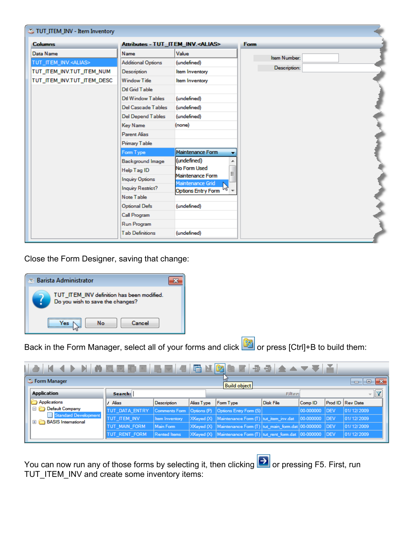| TUT_ITEM_INV - Item Inventory |                           |                                               |              |  |
|-------------------------------|---------------------------|-----------------------------------------------|--------------|--|
| <b>Columns</b>                |                           | Attributes - TUT_ITEM_INV. <alias></alias>    | Form         |  |
| Data Name                     | Name                      | Value                                         | Item Number: |  |
| TUT_ITEM_INV. <alias></alias> | <b>Additional Options</b> | (undefined)                                   |              |  |
| TUT_ITEM_INV.TUT_ITEM_NUM     | Description               | Item Inventory                                | Description: |  |
| TUT_ITEM_INV.TUT_ITEM_DESC    | <b>Window Title</b>       | Item Inventory                                |              |  |
|                               | Dtl Grid Table            |                                               |              |  |
|                               | Dtl Window Tables         | (undefined)                                   |              |  |
|                               | Del Cascade Tables        | (undefined)                                   |              |  |
|                               | Del Depend Tables         | (undefined)                                   |              |  |
|                               | <b>Key Name</b>           | (none)                                        |              |  |
|                               | <b>Parent Alias</b>       |                                               |              |  |
|                               | <b>Primary Table</b>      |                                               |              |  |
|                               | Form Type                 | Maintenance Form                              |              |  |
|                               | <b>Background Image</b>   | (undefined)                                   |              |  |
|                               | Help Tag ID               | No Form Used<br>름                             |              |  |
|                               | <b>Inquiry Options</b>    | Maintenance Form                              |              |  |
|                               | Inquiry Restrict?         | Maintenance Grid<br><b>Options Entry Form</b> |              |  |
|                               | Note Table                |                                               |              |  |
|                               | <b>Optional Defs</b>      | (undefined)                                   |              |  |
|                               | <b>Call Program</b>       |                                               |              |  |
|                               | Run Program               |                                               |              |  |
|                               | <b>Tab Definitions</b>    | (undefined)                                   |              |  |
|                               |                           |                                               |              |  |

Close the Form Designer, saving that change:



Back in the Form Manager, select all of your forms and click or press [Ctrl]+B to build them:

| K ( ) N ( ) Q B B B B ( 4 G M 3 )<br>ě<br>垂骨 ▲▲▼▼ |                      |                               |            |                                                                   |                  |           |             |                  |  |  |  |
|---------------------------------------------------|----------------------|-------------------------------|------------|-------------------------------------------------------------------|------------------|-----------|-------------|------------------|--|--|--|
| <b>C</b> Form Manager                             |                      | $\Box$<br><b>Build object</b> |            |                                                                   |                  |           |             |                  |  |  |  |
| <b>Application</b>                                | Search:              |                               |            | <b>Filter:</b>                                                    |                  |           |             |                  |  |  |  |
| Applications                                      | Alias                | Description                   | Alias Type | Form Type                                                         | <b>Disk File</b> | Comp ID   |             | Prod ID Rev Date |  |  |  |
| Default Company<br>$\Box$<br>Standard Development | TUT_DATA_ENTRY       |                               |            | Comments Form   Options (P)   Options Entry Form (S)              |                  | 00-000000 | <b>IDEV</b> | 01/12/2009       |  |  |  |
| <b>BASIS</b> International<br>$\left  + \right $  | TUT_ITEM_INV         | Item Inventory                |            | XKeyed (X) Maintenance Form (T) tut_item_inv.dat                  |                  | 00-000000 | <b>IDEV</b> | 01/12/2009       |  |  |  |
|                                                   | <b>TUT MAIN FORM</b> | Main Form                     |            | XKeyed (X)   Maintenance Form (T)   tut_main_form.dat   00-000000 |                  |           | <b>IDEV</b> | 01/12/2009       |  |  |  |
|                                                   | TUT RENT FORM        | <b>Rented Items</b>           |            | XKeyed (X) Maintenance Form (T) tut_rent_form.dat  00-000000      |                  |           | <b>DEV</b>  | 01/12/2009       |  |  |  |

You can now run any of those forms by selecting it, then clicking **To and a** or pressing F5. First, run TUT\_ITEM\_INV and create some inventory items: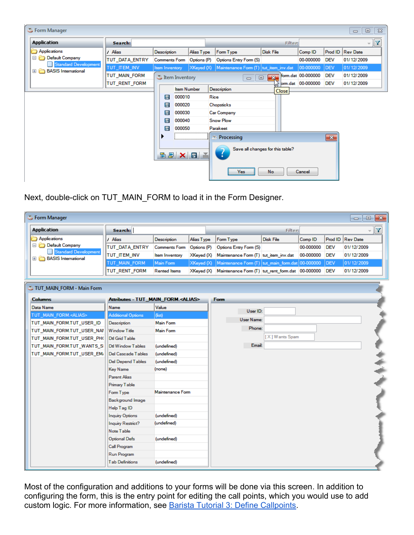| Form Manager                                       |                |                         |                    |      |                                       |                                   |                    |              | $\qquad \qquad \Box$<br>$\qquad \qquad \Box$ | $\Sigma$ |
|----------------------------------------------------|----------------|-------------------------|--------------------|------|---------------------------------------|-----------------------------------|--------------------|--------------|----------------------------------------------|----------|
| <b>Application</b>                                 | Search:        |                         |                    |      |                                       | <b>Filter:</b>                    |                    |              |                                              |          |
| Applications                                       | Alias          | Description             | Alias Type         |      | Form Type                             | Disk File                         | Comp <sup>ID</sup> |              | Prod ID   Rev Date                           |          |
| Default Company                                    | TUT_DATA_ENTRY | <b>Comments Form</b>    | Options (P)        |      | Options Entry Form (S)                |                                   | 00-000000          | <b>DEV</b>   | 01/12/2009                                   |          |
| Standard Development<br><b>BASIS</b> International | TUT_ITEM_INV   | Item Inventory          | XKeyed (X)         |      | Maintenance Form (T) tut_item_inv.dat |                                   | 00-000000          | <b>DEV</b>   | 01/12/2009                                   |          |
|                                                    | TUT_MAIN_FORM  | <b>E</b> Item Inventory |                    |      | $\qquad \qquad \Box$                  | $\overline{\mathbf{x}}$<br>$\Box$ | form.dat 00-000000 | <b>DEV</b>   | 01/12/2009                                   |          |
|                                                    | TUT_RENT_FORM  |                         |                    |      |                                       |                                   | brm.dat 00-000000  | <b>DEV</b>   | 01/12/2009                                   |          |
|                                                    |                |                         | <b>Item Number</b> |      | Description                           | Close                             |                    |              |                                              |          |
|                                                    |                | 000010<br>目             |                    | Rice |                                       |                                   |                    |              |                                              |          |
|                                                    |                | 目<br>000020             |                    |      | Chopsticks                            |                                   |                    |              |                                              |          |
|                                                    |                | 目<br>000030             |                    |      | <b>Car Company</b>                    |                                   |                    |              |                                              |          |
|                                                    |                | 昌<br>000040             |                    |      | <b>Snow Plow</b>                      |                                   |                    |              |                                              |          |
|                                                    |                | 目<br>000050             |                    |      | Parakeet                              |                                   |                    |              |                                              |          |
|                                                    |                |                         |                    |      | <b>E</b> Processing                   |                                   |                    | $\mathbf{x}$ |                                              |          |
|                                                    |                | 百里 × 日 三                |                    |      |                                       | Save all changes for this table?  |                    |              |                                              |          |
|                                                    |                |                         |                    |      | Yes:                                  | No                                | Cancel             |              |                                              |          |

Next, double-click on TUT\_MAIN\_FORM to load it in the Form Designer.

| <b>S</b> Form Manager                                |                                             |                      |             |                                                  |                  |           |            | $\overline{\phantom{a}}$ $\overline{\phantom{a}}$ | $-x$                 |
|------------------------------------------------------|---------------------------------------------|----------------------|-------------|--------------------------------------------------|------------------|-----------|------------|---------------------------------------------------|----------------------|
| <b>Application</b>                                   | Search:                                     |                      |             |                                                  | <b>Filter:</b>   |           |            |                                                   | $\blacktriangledown$ |
| Applications                                         | / Alias                                     | Description          | Alias Type  | Form Type                                        | <b>Disk File</b> | Comp ID   | Prod ID    | <b>Rev Date</b>                                   |                      |
| Default Company                                      | TUT_DATA_ENTRY                              | <b>Comments Form</b> | Options (P) | Options Entry Form (S)                           |                  | 00-000000 | <b>DEV</b> | 01/12/2009                                        |                      |
| Standard Development<br><b>E BASIS</b> International | TUT_ITEM_INV                                | Item Inventory       | XKeyed (X)  | Maintenance Form (T) tut item inv.dat            |                  | 00-000000 | <b>DEV</b> | 01/12/2009                                        |                      |
|                                                      | TUT_MAIN_FORM                               | Main Form            | XKeyed (X)  | Maintenance Form (T) tut_main_form.dat 00-000000 |                  |           | DEV        | 01/12/2009                                        |                      |
|                                                      | TUT_RENT_FORM                               | <b>Rented Items</b>  | XKeyed (X)  | Maintenance Form (T) tut_rent_form.dat 00-000000 |                  |           | <b>DEV</b> | 01/12/2009                                        |                      |
|                                                      |                                             |                      |             |                                                  |                  |           |            |                                                   |                      |
| TUT_MAIN_FORM - Main Form                            |                                             |                      |             |                                                  |                  |           |            |                                                   |                      |
| <b>Columns</b>                                       | Attributes - TUT_MAIN_FORM. <alias></alias> |                      |             | <b>Form</b>                                      |                  |           |            |                                                   |                      |
| Data Name                                            | Name                                        | Value                |             |                                                  |                  |           |            |                                                   |                      |
| TUT_MAIN_FORM. <alias></alias>                       | <b>Additional Options</b>                   | (fist)               |             | User ID:                                         |                  |           |            |                                                   |                      |
| TUT_MAIN_FORM.TUT_USER_ID                            | Description                                 | <b>Main Form</b>     |             | <b>User Name:</b>                                |                  |           |            |                                                   |                      |
| TUT_MAIN_FORM.TUT_USER_NAI                           | <b>Window Title</b>                         | <b>Main Form</b>     |             | Phone:                                           |                  |           |            |                                                   |                      |
| TUT_MAIN_FORM.TUT_USER_PH(                           | Dtl Grid Table                              |                      |             |                                                  | [X] Wants Spam   |           |            |                                                   |                      |
| TUT_MAIN_FORM.TUT_WANTS_SI                           | Dd Window Tables                            | (undefined)          |             | Email:                                           |                  |           |            |                                                   |                      |
| TUT_MAIN_FORM.TUT_USER_EM/                           | Del Cascade Tables                          | (undefined)          |             |                                                  |                  |           |            |                                                   |                      |
|                                                      | <b>Del Depend Tables</b>                    | (undefined)          |             |                                                  |                  |           |            |                                                   |                      |
|                                                      | <b>Key Name</b>                             | (none)               |             |                                                  |                  |           |            |                                                   |                      |
|                                                      | <b>Parent Alias</b>                         |                      |             |                                                  |                  |           |            |                                                   |                      |
|                                                      | Primary Table                               |                      |             |                                                  |                  |           |            |                                                   |                      |
|                                                      | Form Type                                   | Maintenance Form     |             |                                                  |                  |           |            |                                                   |                      |
|                                                      | <b>Background Image</b>                     |                      |             |                                                  |                  |           |            |                                                   |                      |
|                                                      | Help Tag ID                                 |                      |             |                                                  |                  |           |            |                                                   |                      |
|                                                      | <b>Inquiry Options</b>                      | (undefined)          |             |                                                  |                  |           |            |                                                   |                      |
|                                                      | <b>Inquiry Restrict?</b>                    | (undefined)          |             |                                                  |                  |           |            |                                                   |                      |
|                                                      | Note Table                                  |                      |             |                                                  |                  |           |            |                                                   |                      |
|                                                      | <b>Optional Defs</b>                        | (undefined)          |             |                                                  |                  |           |            |                                                   |                      |
|                                                      | <b>Call Program</b>                         |                      |             |                                                  |                  |           |            |                                                   |                      |
|                                                      | Run Program                                 |                      |             |                                                  |                  |           |            |                                                   |                      |
|                                                      | <b>Tab Definitions</b>                      | (undefined)          |             |                                                  |                  |           |            |                                                   |                      |

Most of the configuration and additions to your forms will be done via this screen. In addition to configuring the form, this is the entry point for editing the call points, which you would use to add custom logic. For more information, see **[Barista Tutorial 3: Define Callpoints](http://www.google.com/url?q=http%3A%2F%2Fdocumentation.basis.com%2FBaristaDIP%2FBarista%2520Tutorial%25203%2520-%2520Define%2520Callpoints.pdf&sa=D&sntz=1&usg=AFQjCNG4RtnrNBpcSz7l0_WLAefoIH2T1g)**.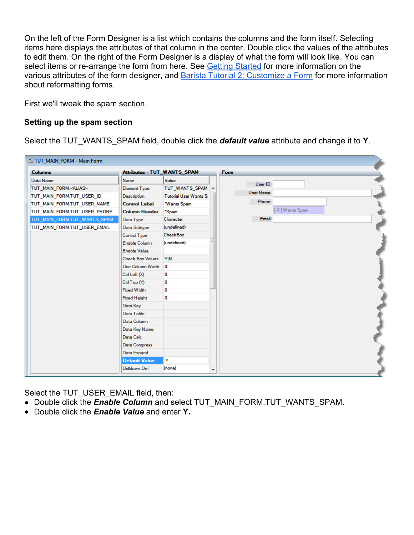On the left of the Form Designer is a list which contains the columns and the form itself. Selecting items here displays the attributes of that column in the center. Double click the values of the attributes to edit them. On the right of the Form Designer is a display of what the form will look like. You can select items or re-arrange the form from here. See **Getting Started** for more information on the various attributes of the form designer, and [Barista Tutorial 2: Customize a Form](http://documentation.basis.com/BaristaDIP/Barista%20Tutorial%202%20-%20Customize%20a%20Form.pdf) for more information about reformatting forms.

First we'll tweak the spam section.

#### **Setting up the spam section**

Select the TUT\_WANTS\_SPAM field, double click the *default value* attribute and change it to **Y**.

| TUT_MAIN_FORM - Main Form      |                                    |                              |                          |                   |                |  |
|--------------------------------|------------------------------------|------------------------------|--------------------------|-------------------|----------------|--|
| <b>Columns</b>                 | <b>Attributes - TUT_WANTS_SPAM</b> |                              |                          | Form              |                |  |
| Data Name                      | <b>Name</b>                        | Value                        |                          | User ID:          |                |  |
| TUT_MAIN_FORM. <alias></alias> | <b>Element Type</b>                | TUT_WANTS_SPAM A             |                          |                   |                |  |
| TUT_MAIN_FORM.TUT_USER_ID      | Description                        | <b>Tutorial User Wants S</b> |                          | <b>User Name:</b> |                |  |
| TUT_MAIN_FORM.TUT_USER_NAME    | <b>Control Label</b>               | *Wants Spam                  |                          | Phone:            |                |  |
| TUT_MAIN_FORM.TUT_USER_PHONE   | <b>Column Header</b>               | *Spam                        |                          |                   | [X] Wants Spam |  |
| TUT_MAIN_FORM.TUT_WANTS_SPAM   | Data Type                          | Character                    |                          | Email:            |                |  |
| TUT_MAIN_FORM.TUT_USER_EMAIL   | Data Subtype                       | (undefined)                  |                          |                   |                |  |
|                                | Control Type                       | <b>CheckBox</b>              |                          |                   |                |  |
|                                | Enable Column                      | (undefined)                  |                          |                   |                |  |
|                                | Enable Value                       |                              |                          |                   |                |  |
|                                | <b>Check Box Values</b>            | Y:N                          |                          |                   |                |  |
|                                | Doc Column Width                   | 0                            |                          |                   |                |  |
|                                | Ctrl Left $(X)$                    | 0                            |                          |                   |                |  |
|                                | Ctrl Top (Y)                       | 0                            |                          |                   |                |  |
|                                | <b>Fixed Width</b>                 | 0                            |                          |                   |                |  |
|                                | <b>Fixed Height</b>                | 0                            |                          |                   |                |  |
|                                | Data Key                           |                              |                          |                   |                |  |
|                                | Data Table                         |                              |                          |                   |                |  |
|                                | Data Column                        |                              |                          |                   |                |  |
|                                | Data Key Name                      |                              |                          |                   |                |  |
|                                | Data Calc                          |                              |                          |                   |                |  |
|                                | Data Compress                      |                              |                          |                   |                |  |
|                                | Data Expand                        |                              |                          |                   |                |  |
|                                | <b>Default Value</b>               | Y                            |                          |                   |                |  |
|                                | Drilldown Def                      | (none)                       | $\overline{\phantom{a}}$ |                   |                |  |

Select the TUT\_USER\_EMAIL field, then:

- Double click the **Enable Column** and select TUT\_MAIN\_FORM.TUT\_WANTS\_SPAM.
- Double click the *Enable Value* and enter **Y.**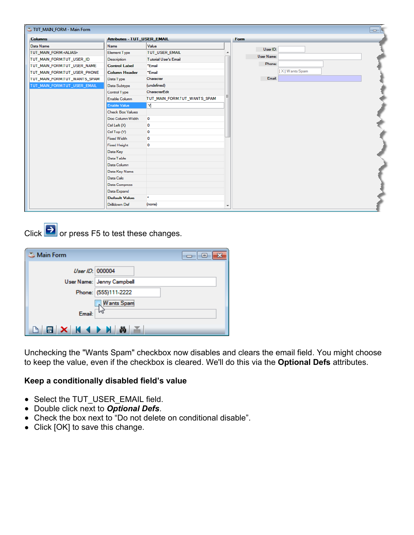| TUT_MAIN_FORM - Main Form      |                                    |                              |                          |            |                | o N |
|--------------------------------|------------------------------------|------------------------------|--------------------------|------------|----------------|-----|
| <b>Columns</b>                 | <b>Attributes - TUT_USER_EMAIL</b> |                              |                          | Form       |                |     |
| Data Name                      | <b>Name</b>                        | Value                        |                          | User ID:   |                |     |
| TUT_MAIN_FORM. <alias></alias> | <b>Element Type</b>                | TUT_USER_EMAIL               |                          |            |                |     |
| TUT_MAIN_FORM.TUT_USER_ID      | Description                        | <b>Tutorial User's Email</b> |                          | User Name: |                |     |
| TUT_MAIN_FORM.TUT_USER_NAME    | <b>Control Label</b>               | *Email                       |                          | Phone:     |                |     |
| TUT_MAIN_FORM.TUT_USER_PHONE   | <b>Column Header</b>               | *Email                       |                          |            | [X] Wants Spam |     |
| TUT_MAIN_FORM.TUT_WANTS_SPAM   | Data Type                          | Character                    |                          | Email:     |                |     |
| TUT_MAIN_FORM.TUT_USER_EMAIL   | Data Subtype                       | (undefined)                  |                          |            |                |     |
|                                | Control Type                       | CharacterEdit                |                          |            |                |     |
|                                | Enable Column                      | TUT_MAIN_FORM.TUT_WANTS_SPAM |                          |            |                |     |
|                                | <b>Enable Value</b>                | M.                           |                          |            |                |     |
|                                | <b>Check Box Values</b>            |                              |                          |            |                |     |
|                                | Doc Column Width                   | 0                            |                          |            |                |     |
|                                | Ctrl Left (X)                      | 0                            |                          |            |                |     |
|                                | Ctrl Top (Y)                       | $\mathbf{0}$                 |                          |            |                |     |
|                                | <b>Fixed Width</b>                 | n                            |                          |            |                |     |
|                                | <b>Fixed Height</b>                | 0                            |                          |            |                |     |
|                                | Data Key                           |                              |                          |            |                |     |
|                                | Data Table                         |                              |                          |            |                |     |
|                                | Data Column                        |                              |                          |            |                |     |
|                                | Data Key Name                      |                              |                          |            |                |     |
|                                | Data Calc                          |                              |                          |            |                |     |
|                                | <b>Data Compress</b>               |                              |                          |            |                |     |
|                                | Data Expand                        |                              |                          |            |                |     |
|                                | <b>Default Value</b>               | ٠                            |                          |            |                |     |
|                                | <b>Drilldown Def</b>               | (none)                       | $\overline{\phantom{a}}$ |            |                |     |

Click  $\rightarrow$  or press F5 to test these changes.

| Main Form       | $\overline{\phantom{a}}$ $\overline{\phantom{a}}$ |
|-----------------|---------------------------------------------------|
| User ID: 000004 |                                                   |
|                 | User Name: Jenny Campbell                         |
|                 | Phone: (555)111-2222                              |
|                 | <b>Wants Spam</b>                                 |
| Email: $\Box$   |                                                   |
| $B X M 1 B X$   |                                                   |

Unchecking the "Wants Spam" checkbox now disables and clears the email field. You might choose to keep the value, even if the checkbox is cleared. We'll do this via the **Optional Defs** attributes.

#### **Keep a conditionally disabled field's value**

- Select the TUT\_USER\_EMAIL field.
- Double click next to *Optional Defs*.
- Check the box next to "Do not delete on conditional disable".
- Click [OK] to save this change.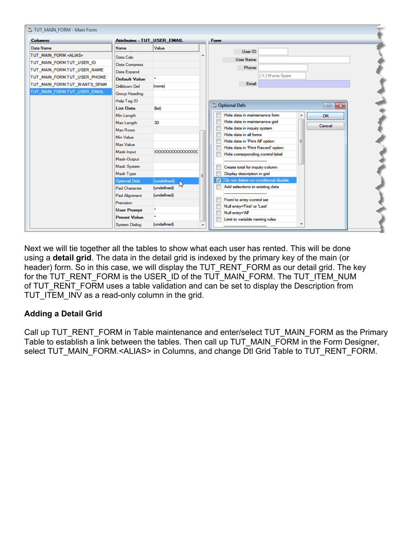| TUT_MAIN_FORM - Main Form      |                                    |                     |  |                                                           |
|--------------------------------|------------------------------------|---------------------|--|-----------------------------------------------------------|
| <b>Columns</b>                 | <b>Attributes - TUT_USER_EMAIL</b> |                     |  | Form                                                      |
| Data Name                      | Name                               | Value               |  | User ID:                                                  |
| TUT_MAIN_FORM. <alias></alias> | Data Calc                          |                     |  |                                                           |
| TUT_MAIN_FORM.TUT_USER_ID      | <b>Data Compress</b>               |                     |  | <b>User Name:</b>                                         |
| TUT MAIN FORM.TUT USER NAME    | Data Expand                        |                     |  | Phone:                                                    |
| TUT_MAIN_FORM.TUT_USER_PHONE   | <b>Default Value</b>               |                     |  | [X] Wants Spam                                            |
| TUT_MAIN_FORM.TUT_WANTS_SPAM   | <b>Drilldown Def</b>               | (none)              |  | Email:                                                    |
| TUT MAIN FORM.TUT USER EMAIL   | <b>Group Heading</b>               |                     |  |                                                           |
|                                | Help Tag ID                        |                     |  |                                                           |
|                                | <b>List Data</b>                   | $(f_{\text{list}})$ |  | Optional Defs<br>$\Box$ X                                 |
|                                | Min Length                         |                     |  | Hide data in maintenance form<br><b>OK</b>                |
|                                | Max Length                         | 30                  |  | Hide data in maintenance grid<br>Cancel                   |
|                                | Max Rows                           |                     |  | Hide data in inquiry system                               |
|                                | Min Value                          |                     |  | Hide data in all forms<br>Hide data in 'Print All' option |
|                                | Max Value                          |                     |  | Hide data in 'Print Record' option                        |
|                                | Mask-Input                         | XXXXXXXXXXXXXXXXX   |  | Hide corresponding control label                          |
|                                | Mask-Output                        |                     |  |                                                           |
|                                | <b>Mask System</b>                 |                     |  | Create total for inquiry column                           |
|                                | Mask Type                          |                     |  | Display description in grid                               |
|                                | <b>Optional Defs</b>               | (undefined)         |  | Do not delete on conditional disable<br>V                 |
|                                | Pad Character                      | (undefined)         |  | Add selections to existing data                           |
|                                | Pad Alignment                      | (undefined)         |  | From/ to entry control set                                |
|                                | Precision                          |                     |  | Null entry='First' or 'Last'                              |
|                                | <b>User Prompt</b>                 | ٠                   |  | Null entry='All'                                          |
|                                | <b>Preset Value</b>                |                     |  | Limit to variable naming rules                            |
|                                | <b>System Dialog</b>               | (undefined)         |  | ┯                                                         |

Next we will tie together all the tables to show what each user has rented. This will be done using a **detail grid**. The data in the detail grid is indexed by the primary key of the main (or header) form. So in this case, we will display the TUT\_RENT\_FORM as our detail grid. The key for the TUT\_RENT\_FORM is the USER\_ID of the TUT\_MAIN\_FORM. The TUT\_ITEM\_NUM of TUT\_RENT\_FORM uses a table validation and can be set to display the Description from TUT ITEM INV as a read-only column in the grid.

## **Adding a Detail Grid**

Call up TUT\_RENT\_FORM in Table maintenance and enter/select TUT\_MAIN\_FORM as the Primary Table to establish a link between the tables. Then call up TUT\_MAIN\_FORM in the Form Designer, select TUT\_MAIN\_FORM.<ALIAS> in Columns, and change Dtl Grid Table to TUT\_RENT\_FORM.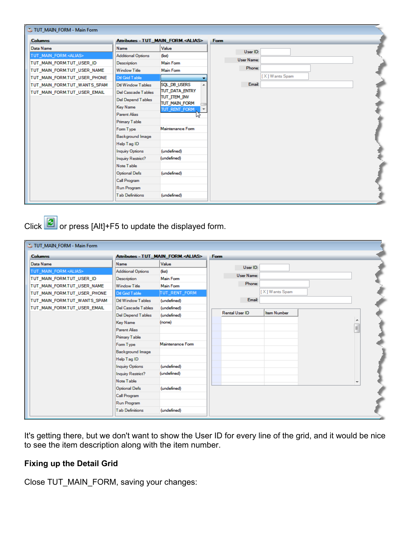| TUT_MAIN_FORM - Main Form      |                           |                                             |                   |
|--------------------------------|---------------------------|---------------------------------------------|-------------------|
| <b>Columns</b>                 |                           | Attributes - TUT_MAIN_FORM. <alias></alias> | <b>Form</b>       |
| Data Name                      | <b>Name</b>               | Value                                       | User ID:          |
| TUT MAIN FORM. <alias></alias> | <b>Additional Options</b> | $(f_{\text{list}})$                         |                   |
| TUT_MAIN_FORM.TUT_USER_ID      | Description               | <b>Main Form</b>                            | <b>User Name:</b> |
| TUT MAIN FORM.TUT USER NAME    | <b>Window Title</b>       | <b>Main Form</b>                            | Phone:            |
| TUT_MAIN_FORM.TUT_USER_PHONE   | Dtl Grid Table            |                                             | [X] Wants Spam    |
| TUT MAIN FORM.TUT WANTS SPAM   | Dtl Window Tables         | SQL_DB_USERS                                | Email:            |
| TUT_MAIN_FORM.TUT_USER_EMAIL   | <b>Del Cascade Tables</b> | TUT DATA ENTRY                              |                   |
|                                | Del Depend Tables         | TUT_ITEM_INV<br>TUT_MAIN_FORM               |                   |
|                                | <b>Key Name</b>           | TUT_RENT_FORM                               |                   |
|                                | <b>Parent Alias</b>       |                                             |                   |
|                                | <b>Primary Table</b>      |                                             |                   |
|                                | Form Type                 | Maintenance Form                            |                   |
|                                | <b>Background Image</b>   |                                             |                   |
|                                | Help Tag ID               |                                             |                   |
|                                | <b>Inquiry Options</b>    | (undefined)                                 |                   |
|                                | Inquiry Restrict?         | (undefined)                                 |                   |
|                                | Note Table                |                                             |                   |
|                                | <b>Optional Defs</b>      | (undefined)                                 |                   |
|                                | <b>Call Program</b>       |                                             |                   |
|                                | <b>Run Program</b>        |                                             |                   |
|                                | <b>Tab Definitions</b>    | (undefined)                                 |                   |
|                                |                           |                                             |                   |

Click  $\boxed{C}$  or press [Alt]+F5 to update the displayed form.

| Attributes - TUT_MAIN_FORM. <alias><br/><b>Columns</b><br/>Form<br/>Value<br/>Data Name<br/>Name<br/>User ID:<br/>TUT_MAIN_FORM.<alias><br/><b>Additional Options</b><br/><math>(f_{\text{list}})</math><br/><b>User Name:</b><br/><b>Main Form</b><br/>TUT_MAIN_FORM.TUT_USER_ID<br/>Description<br/>Phone:<br/>Main Form<br/>TUT_MAIN_FORM.TUT_USER_NAME<br/><b>Window Title</b><br/>[X] Wants Spam<br/>TUT_RENT_FORM<br/>TUT_MAIN_FORM.TUT_USER_PHONE<br/>Dtl Grid Table<br/>Email:<br/>TUT_MAIN_FORM.TUT_WANTS_SPAM<br/>Dd Window Tables<br/>(undefined)<br/>TUT_MAIN_FORM.TUT_USER_EMAIL<br/>Del Cascade Tables<br/>(undefined)<br/><b>Rental User ID</b><br/><b>Item Number</b><br/>(undefined)<br/><b>Del Depend Tables</b><br/>(none)<br/><b>Key Name</b><br/>E<br/>Parent Alias<br/><b>Primary Table</b><br/>Maintenance Form<br/>Form Type<br/><b>Background Image</b><br/>Help Tag ID<br/><b>Inquiry Options</b><br/>(undefined)<br/>(undefined)<br/><b>Inquiry Restrict?</b><br/>Note Table<br/><math>\overline{\phantom{a}}</math><br/><b>Optional Defs</b><br/>(undefined)<br/><b>Call Program</b><br/>Run Program</alias></alias> | TUT_MAIN_FORM - Main Form |  |  |  |
|--------------------------------------------------------------------------------------------------------------------------------------------------------------------------------------------------------------------------------------------------------------------------------------------------------------------------------------------------------------------------------------------------------------------------------------------------------------------------------------------------------------------------------------------------------------------------------------------------------------------------------------------------------------------------------------------------------------------------------------------------------------------------------------------------------------------------------------------------------------------------------------------------------------------------------------------------------------------------------------------------------------------------------------------------------------------------------------------------------------------------------------------------|---------------------------|--|--|--|
|                                                                                                                                                                                                                                                                                                                                                                                                                                                                                                                                                                                                                                                                                                                                                                                                                                                                                                                                                                                                                                                                                                                                                  |                           |  |  |  |
|                                                                                                                                                                                                                                                                                                                                                                                                                                                                                                                                                                                                                                                                                                                                                                                                                                                                                                                                                                                                                                                                                                                                                  |                           |  |  |  |
|                                                                                                                                                                                                                                                                                                                                                                                                                                                                                                                                                                                                                                                                                                                                                                                                                                                                                                                                                                                                                                                                                                                                                  |                           |  |  |  |
|                                                                                                                                                                                                                                                                                                                                                                                                                                                                                                                                                                                                                                                                                                                                                                                                                                                                                                                                                                                                                                                                                                                                                  |                           |  |  |  |
|                                                                                                                                                                                                                                                                                                                                                                                                                                                                                                                                                                                                                                                                                                                                                                                                                                                                                                                                                                                                                                                                                                                                                  |                           |  |  |  |
|                                                                                                                                                                                                                                                                                                                                                                                                                                                                                                                                                                                                                                                                                                                                                                                                                                                                                                                                                                                                                                                                                                                                                  |                           |  |  |  |
|                                                                                                                                                                                                                                                                                                                                                                                                                                                                                                                                                                                                                                                                                                                                                                                                                                                                                                                                                                                                                                                                                                                                                  |                           |  |  |  |
|                                                                                                                                                                                                                                                                                                                                                                                                                                                                                                                                                                                                                                                                                                                                                                                                                                                                                                                                                                                                                                                                                                                                                  |                           |  |  |  |
|                                                                                                                                                                                                                                                                                                                                                                                                                                                                                                                                                                                                                                                                                                                                                                                                                                                                                                                                                                                                                                                                                                                                                  |                           |  |  |  |
|                                                                                                                                                                                                                                                                                                                                                                                                                                                                                                                                                                                                                                                                                                                                                                                                                                                                                                                                                                                                                                                                                                                                                  |                           |  |  |  |
|                                                                                                                                                                                                                                                                                                                                                                                                                                                                                                                                                                                                                                                                                                                                                                                                                                                                                                                                                                                                                                                                                                                                                  |                           |  |  |  |
|                                                                                                                                                                                                                                                                                                                                                                                                                                                                                                                                                                                                                                                                                                                                                                                                                                                                                                                                                                                                                                                                                                                                                  |                           |  |  |  |
|                                                                                                                                                                                                                                                                                                                                                                                                                                                                                                                                                                                                                                                                                                                                                                                                                                                                                                                                                                                                                                                                                                                                                  |                           |  |  |  |
|                                                                                                                                                                                                                                                                                                                                                                                                                                                                                                                                                                                                                                                                                                                                                                                                                                                                                                                                                                                                                                                                                                                                                  |                           |  |  |  |
|                                                                                                                                                                                                                                                                                                                                                                                                                                                                                                                                                                                                                                                                                                                                                                                                                                                                                                                                                                                                                                                                                                                                                  |                           |  |  |  |
|                                                                                                                                                                                                                                                                                                                                                                                                                                                                                                                                                                                                                                                                                                                                                                                                                                                                                                                                                                                                                                                                                                                                                  |                           |  |  |  |
|                                                                                                                                                                                                                                                                                                                                                                                                                                                                                                                                                                                                                                                                                                                                                                                                                                                                                                                                                                                                                                                                                                                                                  |                           |  |  |  |
|                                                                                                                                                                                                                                                                                                                                                                                                                                                                                                                                                                                                                                                                                                                                                                                                                                                                                                                                                                                                                                                                                                                                                  |                           |  |  |  |
|                                                                                                                                                                                                                                                                                                                                                                                                                                                                                                                                                                                                                                                                                                                                                                                                                                                                                                                                                                                                                                                                                                                                                  |                           |  |  |  |
|                                                                                                                                                                                                                                                                                                                                                                                                                                                                                                                                                                                                                                                                                                                                                                                                                                                                                                                                                                                                                                                                                                                                                  |                           |  |  |  |
|                                                                                                                                                                                                                                                                                                                                                                                                                                                                                                                                                                                                                                                                                                                                                                                                                                                                                                                                                                                                                                                                                                                                                  |                           |  |  |  |
| <b>Tab Definitions</b><br>(undefined)                                                                                                                                                                                                                                                                                                                                                                                                                                                                                                                                                                                                                                                                                                                                                                                                                                                                                                                                                                                                                                                                                                            |                           |  |  |  |

It's getting there, but we don't want to show the User ID for every line of the grid, and it would be nice to see the item description along with the item number.

## **Fixing up the Detail Grid**

Close TUT\_MAIN\_FORM, saving your changes: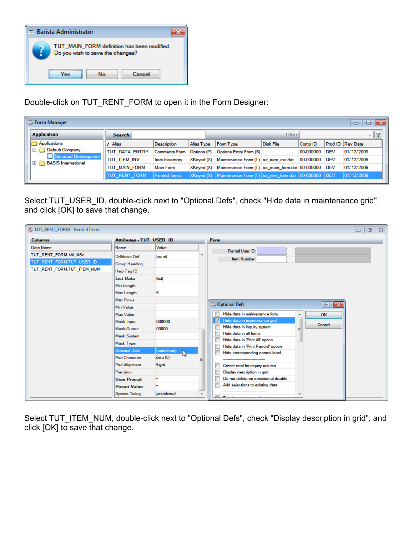

Double-click on TUT\_RENT\_FORM to open it in the Form Designer:

| <b>S</b> Form Manager<br>e<br>$\Box$                                                         |                       |                      |                     |                                                         |                                                                   |           |            |            |                         |
|----------------------------------------------------------------------------------------------|-----------------------|----------------------|---------------------|---------------------------------------------------------|-------------------------------------------------------------------|-----------|------------|------------|-------------------------|
| Application                                                                                  |                       | Search:              |                     |                                                         |                                                                   | Filter:   |            |            |                         |
| Applications                                                                                 |                       | Alias                | <b>Description</b>  | Alias Type                                              | Form Type                                                         | Disk File | Comp ID    |            | <b>Prod ID Rev Date</b> |
| Ⅱ⊟<br><b>Default Company</b><br>Standard Development<br><b>BASIS</b> International<br>$\Box$ | <b>TUT DATA ENTRY</b> | <b>Comments Form</b> | Options (P)         | Options Entry Form (S)                                  |                                                                   | 00-000000 | <b>DEV</b> | 01/12/2009 |                         |
|                                                                                              | <b>TUT ITEM INV</b>   | Item Inventory       |                     | $X$ Keyed $(X)$ Maintenance Form $(T)$ tut item inv.dat |                                                                   | 00-000000 | <b>DEV</b> | 01/12/2009 |                         |
|                                                                                              |                       | <b>TUT MAIN FORM</b> | Main Form           |                                                         | XKeyed (X) Maintenance Form (T) tut_main_form.dat 00-000000       |           |            | <b>DEV</b> | 01/12/2009              |
|                                                                                              |                       | TUT RENT FORM        | <b>Rented Items</b> |                                                         | XKeyed (X) Maintenance Form (T) tut_rent_form.dat  00-000000  DEV |           |            |            | 01/12/2009              |

Select TUT\_USER\_ID, double-click next to "Optional Defs", check "Hide data in maintenance grid", and click [OK] to save that change.

| TUT_RENT_FORM - Rented Items                                 |                                   |                           |                          | $\Box$<br>$\Box$                                                            | $\Sigma$ |
|--------------------------------------------------------------|-----------------------------------|---------------------------|--------------------------|-----------------------------------------------------------------------------|----------|
| <b>Columns</b>                                               | Attributes - TUT_USER_ID          |                           |                          | <b>Form</b>                                                                 |          |
| Data Name                                                    | <b>Name</b>                       | Value                     |                          | Rental User ID:                                                             |          |
| TUT_RENT_FORM. <alias><br/>TUT RENT FORM.TUT USER ID</alias> | Drilldown Def                     | (none)                    |                          | Item Number:                                                                |          |
| TUT_RENT_FORM.TUT_ITEM_NUM                                   | Group Heading<br>Help Tag ID      |                           |                          |                                                                             |          |
|                                                              | <b>List Data</b>                  | $(f_{\text{list}})$       |                          |                                                                             |          |
|                                                              | Min Length                        |                           |                          |                                                                             |          |
|                                                              | Max Length<br>Max Rows            | 6                         |                          |                                                                             |          |
|                                                              | Min Value                         |                           |                          | C Optional Defs<br>$\blacksquare$<br>$\mathbf{x}$                           |          |
|                                                              | Max Value                         |                           |                          | Hide data in maintenance form<br><b>OK</b><br>۸                             |          |
|                                                              | Mask-Input                        | 000000                    |                          | Hide data in maintenance grid<br>V<br>Cancel<br>Hide data in inquiry system |          |
|                                                              | Mask-Output<br><b>Mask System</b> | 00000                     |                          | Ξ<br>Hide data in all forms                                                 |          |
|                                                              | Mask Type                         |                           |                          | Hide data in 'Print All' option                                             |          |
|                                                              | <b>Optional Defs</b>              | (undefined)               |                          | Hide data in 'Print Record' option<br>Hide corresponding control label      |          |
|                                                              | Pad Character                     | h <sup>2</sup><br>Zero(0) | Ξ                        |                                                                             |          |
|                                                              | Pad Alignment                     | Right                     |                          | Create total for inquiry column                                             |          |
|                                                              | Precision<br><b>User Prompt</b>   | ٠                         |                          | Display description in grid<br>Do not delete on conditional disable         |          |
|                                                              | <b>Preset Value</b>               |                           |                          | Add selections to existing data                                             |          |
|                                                              | <b>System Dialog</b>              | (undefined)               | $\overline{\phantom{a}}$ | $\overline{\phantom{a}}$<br>— <i>—</i>                                      |          |

Select TUT\_ITEM\_NUM, double-click next to "Optional Defs", check "Display description in grid", and click [OK] to save that change.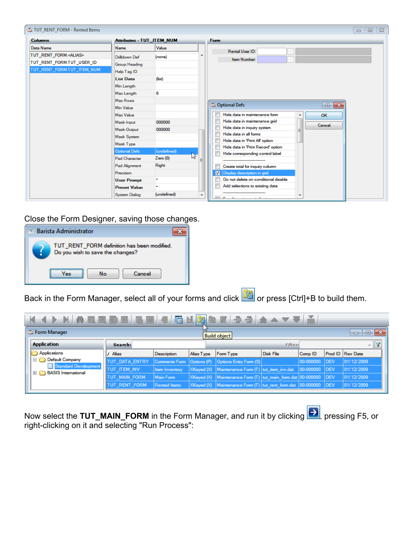| TUT_RENT_FORM - Rented Items                                 |                                  |                         |                          | $\Box$                                                                | $\mathbb{Z}^2$<br>$\Box$ |
|--------------------------------------------------------------|----------------------------------|-------------------------|--------------------------|-----------------------------------------------------------------------|--------------------------|
| <b>Columns</b>                                               | <b>Attributes - TUT_ITEM_NUM</b> |                         |                          | <b>Form</b>                                                           |                          |
| Data Name                                                    | Name                             | Value                   |                          | Rental User ID:                                                       |                          |
| TUT RENT FORM. <alias><br/>TUT RENT FORM.TUT USER ID</alias> | Drilldown Def                    | (none)                  |                          | Item Number:                                                          |                          |
|                                                              | Group Heading                    |                         |                          |                                                                       |                          |
| TUT_RENT_FORM.TUT_ITEM_NUM                                   | Help Tag ID                      |                         |                          |                                                                       |                          |
|                                                              | <b>List Data</b>                 | (fist)                  |                          |                                                                       |                          |
|                                                              | Min Length                       |                         |                          |                                                                       |                          |
|                                                              | Max Length                       | 6                       |                          |                                                                       |                          |
|                                                              | Max Rows                         |                         |                          |                                                                       |                          |
|                                                              | <b>Min Value</b>                 |                         |                          | C Optional Defs<br>$\Box$ X                                           |                          |
|                                                              | Max Value                        |                         |                          | Hide data in maintenance form<br>OK<br>A                              |                          |
|                                                              | Mask-Input                       | 000000                  |                          | Hide data in maintenance grid<br>Cancel                               |                          |
|                                                              | Mask-Output                      | 000000                  |                          | Hide data in inquiry system<br>Ξ                                      |                          |
|                                                              | <b>Mask System</b>               |                         |                          | Hide data in all forms                                                |                          |
|                                                              | Mask Type                        |                         |                          | Hide data in 'Print All' option<br>Hide data in 'Print Record' option |                          |
|                                                              | <b>Optional Defs</b>             | (undefined)             |                          | Hide corresponding control label                                      |                          |
|                                                              | <b>Pad Character</b>             | $\mathbb{Z}$<br>Zero(0) |                          |                                                                       |                          |
|                                                              | Pad Alignment                    | Right                   |                          | Create total for inquiry column                                       |                          |
|                                                              | Precision                        |                         |                          | Display description in grid<br>√                                      |                          |
|                                                              | <b>User Prompt</b>               | ٠                       |                          | Do not delete on conditional disable                                  |                          |
|                                                              | <b>Preset Value</b>              |                         |                          | Add selections to existing data                                       |                          |
|                                                              | <b>System Dialog</b>             | (undefined)             | $\overline{\phantom{a}}$ | $\overline{\phantom{a}}$<br><b>Expertise</b><br>$\sim$                |                          |

Close the Form Designer, saving those changes.



Back in the Form Manager, select all of your forms and click or press [Ctrl]+B to build them.

| 囁<br>圅<br>団<br>垂目<br>N AQQDES 4<br>$ \mathbf{G} $<br>$\leftarrow$    |                       |                     |            |                                                                       |                |               |             |                          |  |
|----------------------------------------------------------------------|-----------------------|---------------------|------------|-----------------------------------------------------------------------|----------------|---------------|-------------|--------------------------|--|
| <b>C</b> Form Manager<br>$-23$<br>e<br>$\Box$<br><b>Build object</b> |                       |                     |            |                                                                       |                |               |             |                          |  |
| Application                                                          | Search:               |                     |            |                                                                       | <b>Filter:</b> |               |             | $\overline{\phantom{a}}$ |  |
| Applications                                                         | Alias                 | Description         | Alias Type | Form Type                                                             | Disk File      | Comp ID       |             | Prod ID Rev Date         |  |
| $=$<br>Default Company                                               | <b>TUT DATA ENTRY</b> |                     |            | Comments Form   Options (P)   Options Entry Form (S)                  |                | 00-000000     | <b>IDEV</b> | 01/12/2009               |  |
| Standard Development<br><b>BASIS</b> International<br>$+$            | <b>TUT ITEM INV</b>   | Item Inventory      |            | XKeyed (X)   Maintenance Form (T)   tut_item_inv.dat                  |                | 00-000000 DEV |             | 01/12/2009               |  |
|                                                                      | TUT_MAIN_FORM         | Main Form           |            | XKeyed (X)   Maintenance Form (T)   tut_main_form.dat 00-000000   DEV |                |               |             | 01/12/2009               |  |
|                                                                      | TUT_RENT_FORM         | <b>Rented Items</b> |            | XKeyed (X) Maintenance Form (T) tut_rent_form.dat  00-000000  DEV     |                |               |             | 01/12/2009               |  |

Now select the **TUT\_MAIN\_FORM** in the Form Manager, and run it by clicking **Kell**, pressing F5, or right-clicking on it and selecting "Run Process":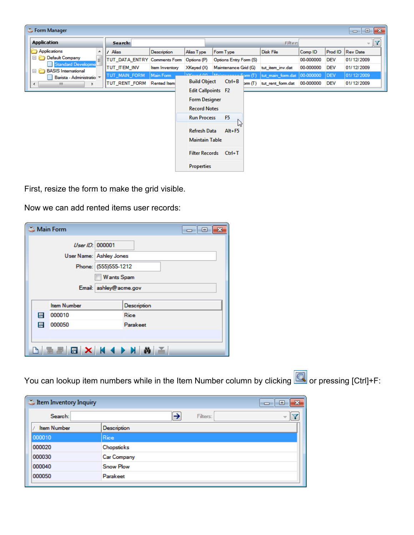| <b>Application</b>                                           | Search:                      |                     |                           |                        |        | <b>Filter:</b>    |           |            | $\mathbf{v}$    |
|--------------------------------------------------------------|------------------------------|---------------------|---------------------------|------------------------|--------|-------------------|-----------|------------|-----------------|
| Applications<br>▲                                            | Alias                        | Description         | Alias Type                | Form Type              |        | Disk File         | Comp ID   | Prod ID    | <b>Rev Date</b> |
| Θ<br>Default Company<br>Ξ                                    | TUT_DATA_ENTRY Comments Form |                     | Options (P)               | Options Entry Form (S) |        |                   | 00-000000 | <b>DEV</b> | 01/12/2009      |
| <b>Standard Developme</b><br><b>BASIS</b> International<br>Θ | TUT ITEM INV                 | Item Inventory      | $X$ Keyed $(X)$           | Maintenance Grid (G)   |        | tut item inv.dat  | 00-000000 | <b>DEV</b> | 01/12/2009      |
| Barista - Administratio ~                                    | TUT_MAIN_FORM                | Main Form           | $\sqrt{C}$                |                        |        | tut_main_form.dat | 00-000000 | <b>DEV</b> | 01/12/2009      |
| W.<br>∢                                                      | TUT_RENT_FORM                | <b>Rented Item:</b> | <b>Build Object</b>       | $Ctrl + B$             | bcm(T) | tut_rent_form.dat | 00-000000 | <b>DEV</b> | 01/12/2009      |
|                                                              |                              |                     | <b>Edit Callpoints F2</b> |                        |        |                   |           |            |                 |
|                                                              |                              |                     | <b>Form Designer</b>      |                        |        |                   |           |            |                 |
|                                                              |                              |                     | <b>Record Notes</b>       |                        |        |                   |           |            |                 |
|                                                              |                              |                     | <b>Run Process</b>        | F <sub>5</sub>         |        |                   |           |            |                 |
|                                                              |                              |                     |                           | lлť                    |        |                   |           |            |                 |
|                                                              |                              |                     | Refresh Data              | $Alt + F5$             |        |                   |           |            |                 |
|                                                              |                              |                     | <b>Maintain Table</b>     |                        |        |                   |           |            |                 |
|                                                              |                              |                     |                           | Filter Records Ctrl+T  |        |                   |           |            |                 |
|                                                              |                              |                     |                           |                        |        |                   |           |            |                 |

First, resize the form to make the grid visible.

Now we can add rented items user records:

| Main Form |                            |  | $\overline{\phantom{a}}$ |  |  |  |  |  |  |
|-----------|----------------------------|--|--------------------------|--|--|--|--|--|--|
|           | User ID: 000001            |  |                          |  |  |  |  |  |  |
|           | User Name: Ashley Jones    |  |                          |  |  |  |  |  |  |
|           | Phone: (555)555-1212       |  |                          |  |  |  |  |  |  |
|           | <b>Wants Spam</b>          |  |                          |  |  |  |  |  |  |
|           | Email: ashley@acme.gov     |  |                          |  |  |  |  |  |  |
|           |                            |  |                          |  |  |  |  |  |  |
|           | <b>Item Number</b>         |  | Description              |  |  |  |  |  |  |
| 目         | 000010                     |  | Rice                     |  |  |  |  |  |  |
| E         | 000050                     |  | Parakeet                 |  |  |  |  |  |  |
|           |                            |  |                          |  |  |  |  |  |  |
|           | ▆ <i>▇</i> ▕聞▏╳▏▕▎◀▕▶▕▏▓▏≚ |  |                          |  |  |  |  |  |  |

You can lookup item numbers while in the Item Number column by clicking **Q** or pressing [Ctrl]+F:

|                  | 53<br>e<br>$\Box$        |
|------------------|--------------------------|
| →<br>Filters:    | $\overline{\phantom{a}}$ |
| Description      |                          |
| Rice             |                          |
| Chopsticks       |                          |
| Car Company      |                          |
| <b>Snow Plow</b> |                          |
| Parakeet         |                          |
|                  |                          |